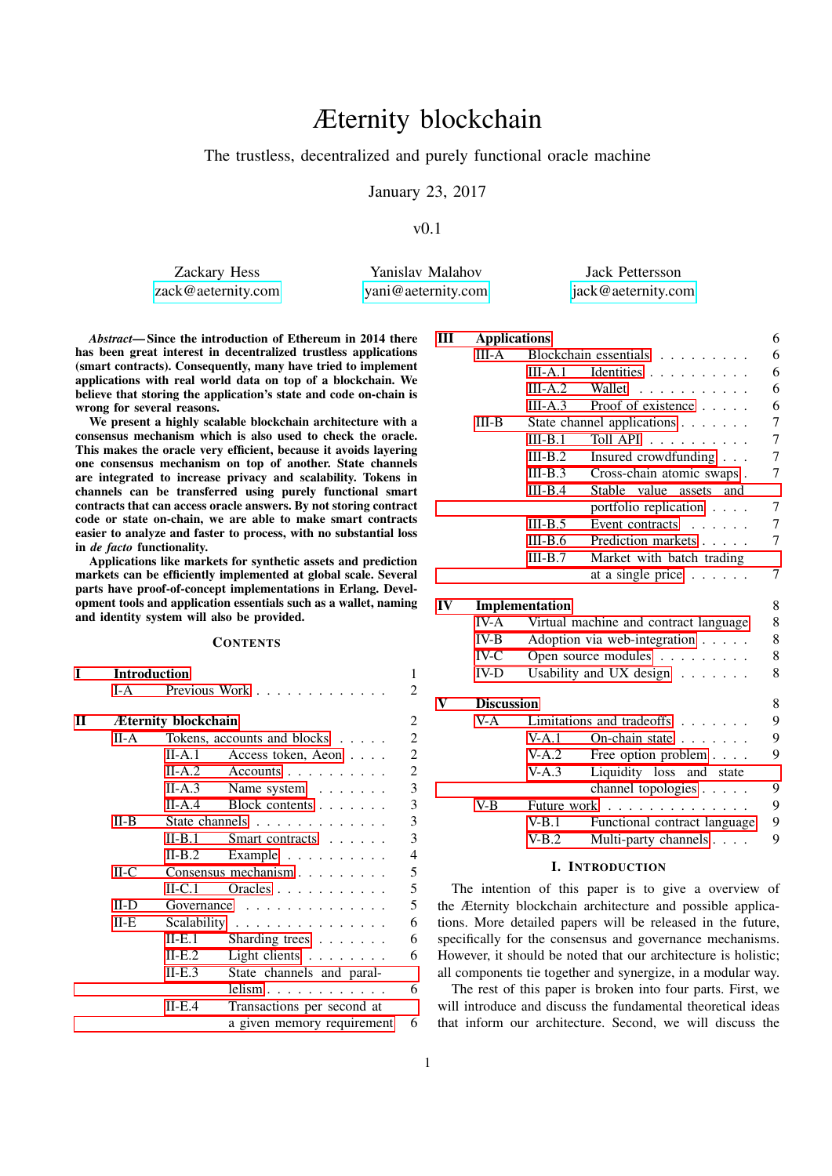# Æternity blockchain

# The trustless, decentralized and purely functional oracle machine

January 23, 2017

 $v(0.1)$ 

Zackary Hess [zack@aeternity.com](mailto:zack@aeternity.com)

Yanislav Malahov [yani@aeternity.com](mailto:yani@aeternity.com)

Jack Pettersson [jack@aeternity.com](mailto:jack@aeternity.com)

*Abstract*— Since the introduction of Ethereum in 2014 there has been great interest in decentralized trustless applications (smart contracts). Consequently, many have tried to implement applications with real world data on top of a blockchain. We believe that storing the application's state and code on-chain is wrong for several reasons.

We present a highly scalable blockchain architecture with a consensus mechanism which is also used to check the oracle. This makes the oracle very efficient, because it avoids layering one consensus mechanism on top of another. State channels are integrated to increase privacy and scalability. Tokens in channels can be transferred using purely functional smart contracts that can access oracle answers. By not storing contract code or state on-chain, we are able to make smart contracts easier to analyze and faster to process, with no substantial loss in *de facto* functionality.

Applications like markets for synthetic assets and prediction markets can be efficiently implemented at global scale. Several parts have proof-of-concept implementations in Erlang. Development tools and application essentials such as a wallet, naming and identity system will also be provided.

# **CONTENTS**

| T | <b>Introduction</b>        |                                               |                                 |                |  |
|---|----------------------------|-----------------------------------------------|---------------------------------|----------------|--|
|   | $I-A$                      | Previous Work                                 |                                 |                |  |
| П | <b>Æternity blockchain</b> |                                               |                                 |                |  |
|   | $II-A$                     | Tokens, accounts and blocks $\dots$ .         |                                 | $\overline{2}$ |  |
|   |                            | II-A.1                                        | Access token, Aeon              | $\overline{c}$ |  |
|   |                            | II-A.2                                        | $Accounts \ldots \ldots \ldots$ | $\overline{c}$ |  |
|   |                            | $II-A.3$                                      | Name system                     | $\overline{3}$ |  |
|   |                            | II-A.4                                        | Block contents $\ldots$         | 3              |  |
|   | $II-B$                     | State channels $\ldots$ , $\ldots$ , $\ldots$ |                                 | 3              |  |
|   |                            | $II-B.1$                                      | Smart contracts                 | 3              |  |
|   |                            | $II-B.2$                                      | Example $\ldots$                | $\overline{4}$ |  |
|   | $H-C$                      | Consensus mechanism                           |                                 |                |  |
|   |                            | $II-C.1$                                      | Oracles                         | 5              |  |
|   | $II-D$                     | 5<br>Governance                               |                                 |                |  |
|   | $II-E$                     | Scalability                                   |                                 | 6              |  |
|   |                            | $II-E.1$                                      | Sharding trees $\ldots$         | 6              |  |
|   |                            | $II-E.2$                                      | Light clients                   | 6              |  |
|   |                            | II-E.3                                        | State channels and paral-       |                |  |
|   |                            |                                               | $lelim \ldots \ldots \ldots$    | 6              |  |
|   |                            | $II-E.4$                                      | Transactions per second at      |                |  |
|   |                            |                                               | a given memory requirement      | 6              |  |

| Ш  | <b>Applications</b> |                                            |                              | 6              |
|----|---------------------|--------------------------------------------|------------------------------|----------------|
|    | $III-A$             | Blockchain essentials                      |                              |                |
|    |                     | $III-A.1$                                  | Identities                   | 6              |
|    |                     | $III-A.2$                                  | Wallet<br><u>.</u>           | 6              |
|    |                     | $III-A.3$                                  | Proof of existence           | 6              |
|    | $III-B$             |                                            | State channel applications   | 7              |
|    |                     | $III-B.1$                                  | Toll API                     | $\tau$         |
|    |                     | $III-B.2$                                  | Insured crowdfunding         | $\tau$         |
|    |                     | $III-B.3$                                  | Cross-chain atomic swaps.    | $\overline{7}$ |
|    |                     | $III-B.4$                                  | Stable value assets and      |                |
|    |                     |                                            | portfolio replication        | 7              |
|    |                     | $III-B.5$                                  | Event contracts $\dots$ .    | 7              |
|    |                     | $III-B.6$                                  | Prediction markets           | 7              |
|    |                     | $III-B.7$                                  | Market with batch trading    |                |
|    |                     |                                            | at a single price $\ldots$ . | 7              |
| IV | Implementation      |                                            |                              |                |
|    | IV-A                | 8<br>Virtual machine and contract language |                              |                |
|    | $IV-B$              | 8<br>Adoption via web-integration          |                              |                |
|    | $IV-C$              | 8<br>Open source modules                   |                              |                |
|    | $IV-D$              | 8<br>Usability and UX design               |                              |                |
| V  | <b>Discussion</b>   |                                            |                              |                |
|    | $V-A$               | Limitations and tradeoffs $\ldots$ ,       |                              | 9              |
|    |                     | $V-A.1$                                    | On-chain state $\ldots$ ,    | 9              |
|    |                     | V-A.2                                      | Free option problem          | 9              |
|    |                     | $V-A.3$                                    | Liquidity loss and state     |                |
|    |                     |                                            | channel topologies           | 9              |
|    | V-B                 |                                            | Future work                  | 9              |

# I. INTRODUCTION

[V-B.1 Functional contract language](#page-8-5) 9 [V-B.2 Multi-party channels](#page-8-6) . . . . 9

<span id="page-0-0"></span>The intention of this paper is to give a overview of the Æternity blockchain architecture and possible applications. More detailed papers will be released in the future, specifically for the consensus and governance mechanisms. However, it should be noted that our architecture is holistic; all components tie together and synergize, in a modular way.

The rest of this paper is broken into four parts. First, we will introduce and discuss the fundamental theoretical ideas that inform our architecture. Second, we will discuss the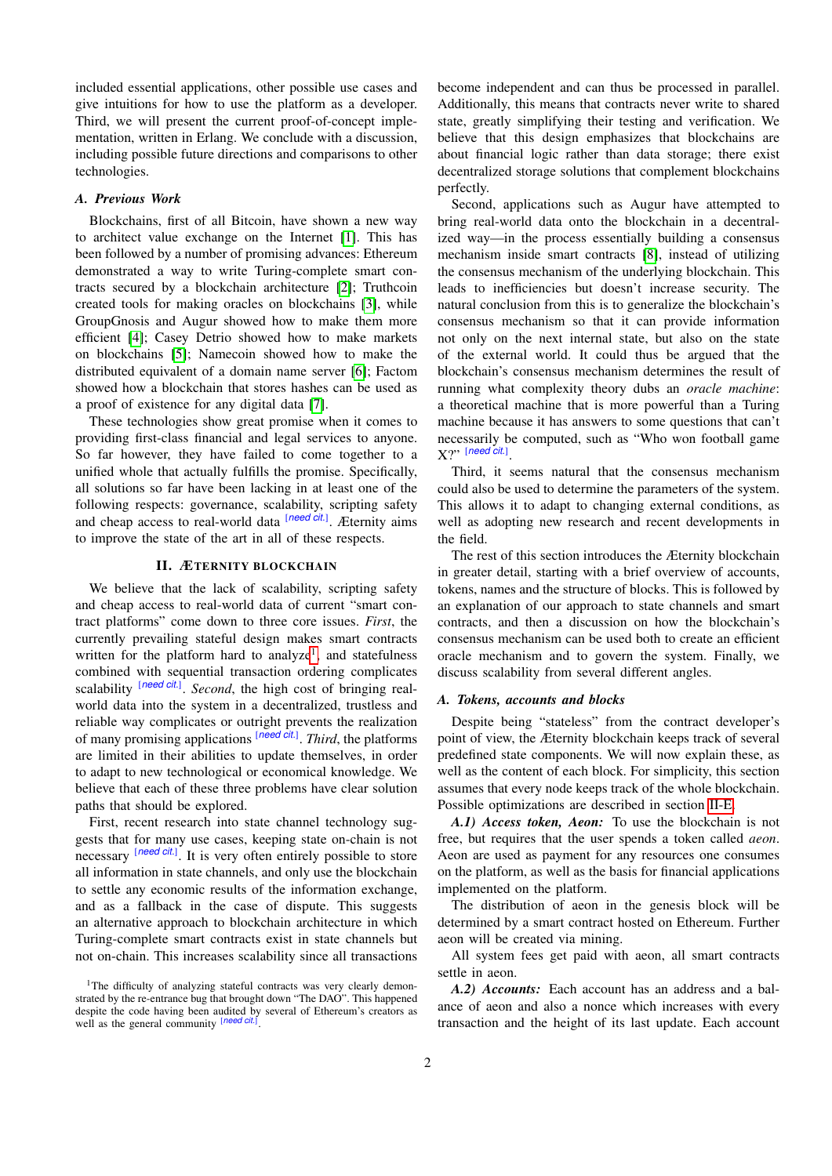included essential applications, other possible use cases and give intuitions for how to use the platform as a developer. Third, we will present the current proof-of-concept implementation, written in Erlang. We conclude with a discussion, including possible future directions and comparisons to other technologies.

#### <span id="page-1-0"></span>*A. Previous Work*

Blockchains, first of all Bitcoin, have shown a new way to architect value exchange on the Internet [\[1\]](#page-9-0). This has been followed by a number of promising advances: Ethereum demonstrated a way to write Turing-complete smart contracts secured by a blockchain architecture [\[2\]](#page-9-1); Truthcoin created tools for making oracles on blockchains [\[3\]](#page-9-2), while GroupGnosis and Augur showed how to make them more efficient [\[4\]](#page-9-3); Casey Detrio showed how to make markets on blockchains [\[5\]](#page-9-4); Namecoin showed how to make the distributed equivalent of a domain name server [\[6\]](#page-9-5); Factom showed how a blockchain that stores hashes can be used as a proof of existence for any digital data [\[7\]](#page-9-6).

These technologies show great promise when it comes to providing first-class financial and legal services to anyone. So far however, they have failed to come together to a unified whole that actually fulfills the promise. Specifically, all solutions so far have been lacking in at least one of the following respects: governance, scalability, scripting safety and cheap access to real-world data [*need cit.*] . Æternity aims to improve the state of the art in all of these respects.

#### II. ÆTERNITY BLOCKCHAIN

<span id="page-1-1"></span>We believe that the lack of scalability, scripting safety and cheap access to real-world data of current "smart contract platforms" come down to three core issues. *First*, the currently prevailing stateful design makes smart contracts written for the platform hard to analyze<sup>[1](#page-1-5)</sup>, and statefulness combined with sequential transaction ordering complicates scalability [need cit.]. Second, the high cost of bringing realworld data into the system in a decentralized, trustless and reliable way complicates or outright prevents the realization of many promising applications [*need cit.*] . *Third*, the platforms are limited in their abilities to update themselves, in order to adapt to new technological or economical knowledge. We believe that each of these three problems have clear solution paths that should be explored.

First, recent research into state channel technology suggests that for many use cases, keeping state on-chain is not necessary [need cit.]. It is very often entirely possible to store all information in state channels, and only use the blockchain to settle any economic results of the information exchange, and as a fallback in the case of dispute. This suggests an alternative approach to blockchain architecture in which Turing-complete smart contracts exist in state channels but not on-chain. This increases scalability since all transactions become independent and can thus be processed in parallel. Additionally, this means that contracts never write to shared state, greatly simplifying their testing and verification. We believe that this design emphasizes that blockchains are about financial logic rather than data storage; there exist decentralized storage solutions that complement blockchains perfectly.

Second, applications such as Augur have attempted to bring real-world data onto the blockchain in a decentralized way—in the process essentially building a consensus mechanism inside smart contracts [\[8\]](#page-9-7), instead of utilizing the consensus mechanism of the underlying blockchain. This leads to inefficiencies but doesn't increase security. The natural conclusion from this is to generalize the blockchain's consensus mechanism so that it can provide information not only on the next internal state, but also on the state of the external world. It could thus be argued that the blockchain's consensus mechanism determines the result of running what complexity theory dubs an *oracle machine*: a theoretical machine that is more powerful than a Turing machine because it has answers to some questions that can't necessarily be computed, such as "Who won football game X?" [*need cit.*] .

Third, it seems natural that the consensus mechanism could also be used to determine the parameters of the system. This allows it to adapt to changing external conditions, as well as adopting new research and recent developments in the field.

The rest of this section introduces the Æternity blockchain in greater detail, starting with a brief overview of accounts, tokens, names and the structure of blocks. This is followed by an explanation of our approach to state channels and smart contracts, and then a discussion on how the blockchain's consensus mechanism can be used both to create an efficient oracle mechanism and to govern the system. Finally, we discuss scalability from several different angles.

#### <span id="page-1-2"></span>*A. Tokens, accounts and blocks*

Despite being "stateless" from the contract developer's point of view, the Æternity blockchain keeps track of several predefined state components. We will now explain these, as well as the content of each block. For simplicity, this section assumes that every node keeps track of the whole blockchain. Possible optimizations are described in section [II-E.](#page-5-0)

<span id="page-1-3"></span>*A.1) Access token, Aeon:* To use the blockchain is not free, but requires that the user spends a token called *aeon*. Aeon are used as payment for any resources one consumes on the platform, as well as the basis for financial applications implemented on the platform.

The distribution of aeon in the genesis block will be determined by a smart contract hosted on Ethereum. Further aeon will be created via mining.

All system fees get paid with aeon, all smart contracts settle in aeon.

<span id="page-1-4"></span>*A.2) Accounts:* Each account has an address and a balance of aeon and also a nonce which increases with every transaction and the height of its last update. Each account

<span id="page-1-5"></span><sup>&</sup>lt;sup>1</sup>The difficulty of analyzing stateful contracts was very clearly demonstrated by the re-entrance bug that brought down "The DAO". This happened despite the code having been audited by several of Ethereum's creators as well as the general community [*need cit.*] .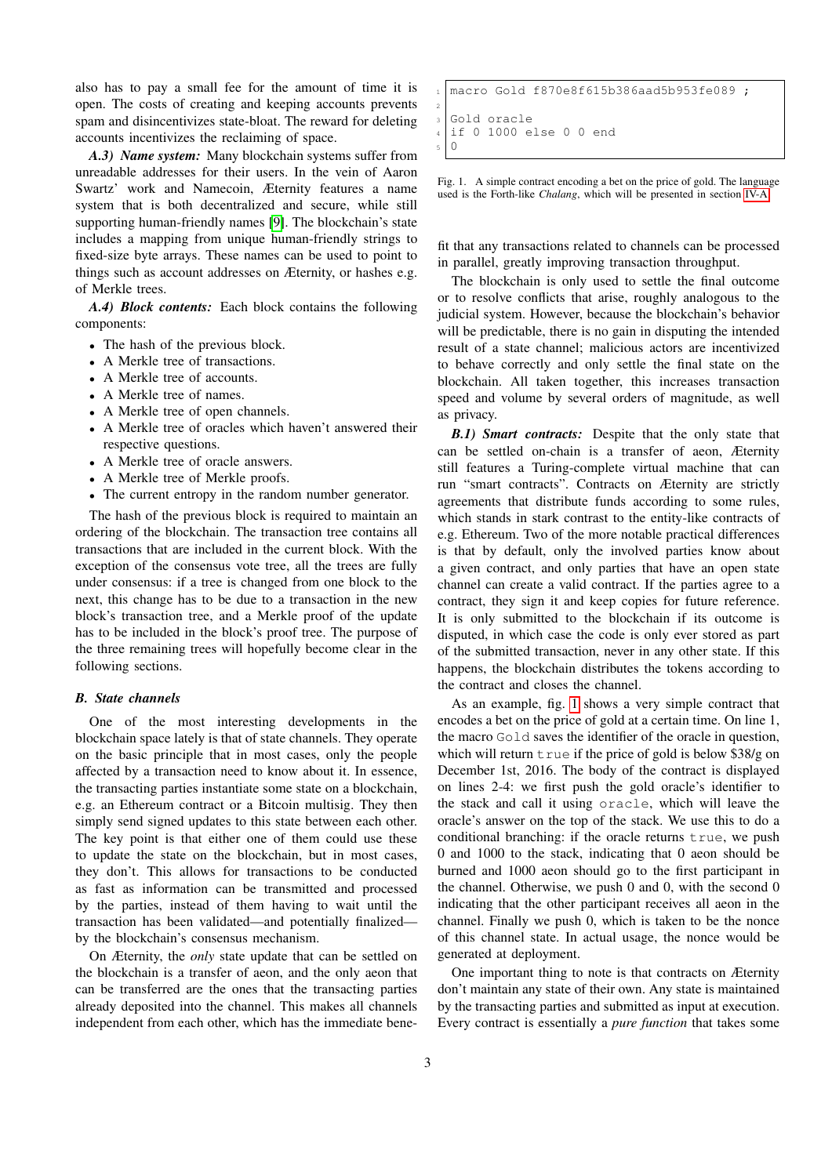also has to pay a small fee for the amount of time it is open. The costs of creating and keeping accounts prevents spam and disincentivizes state-bloat. The reward for deleting accounts incentivizes the reclaiming of space.

<span id="page-2-0"></span>*A.3) Name system:* Many blockchain systems suffer from unreadable addresses for their users. In the vein of Aaron Swartz' work and Namecoin, Æternity features a name system that is both decentralized and secure, while still supporting human-friendly names [\[9\]](#page-9-8). The blockchain's state includes a mapping from unique human-friendly strings to fixed-size byte arrays. These names can be used to point to things such as account addresses on Æternity, or hashes e.g. of Merkle trees.

<span id="page-2-1"></span>*A.4) Block contents:* Each block contains the following components:

- The hash of the previous block.
- A Merkle tree of transactions.
- A Merkle tree of accounts.
- A Merkle tree of names.
- A Merkle tree of open channels.
- A Merkle tree of oracles which haven't answered their respective questions.
- A Merkle tree of oracle answers.
- A Merkle tree of Merkle proofs.
- The current entropy in the random number generator.

The hash of the previous block is required to maintain an ordering of the blockchain. The transaction tree contains all transactions that are included in the current block. With the exception of the consensus vote tree, all the trees are fully under consensus: if a tree is changed from one block to the next, this change has to be due to a transaction in the new block's transaction tree, and a Merkle proof of the update has to be included in the block's proof tree. The purpose of the three remaining trees will hopefully become clear in the following sections.

### <span id="page-2-2"></span>*B. State channels*

One of the most interesting developments in the blockchain space lately is that of state channels. They operate on the basic principle that in most cases, only the people affected by a transaction need to know about it. In essence, the transacting parties instantiate some state on a blockchain, e.g. an Ethereum contract or a Bitcoin multisig. They then simply send signed updates to this state between each other. The key point is that either one of them could use these to update the state on the blockchain, but in most cases, they don't. This allows for transactions to be conducted as fast as information can be transmitted and processed by the parties, instead of them having to wait until the transaction has been validated—and potentially finalized by the blockchain's consensus mechanism.

On Æternity, the *only* state update that can be settled on the blockchain is a transfer of aeon, and the only aeon that can be transferred are the ones that the transacting parties already deposited into the channel. This makes all channels independent from each other, which has the immediate bene-

```
macro Gold f870e8f615b386aad5b953fe089 :
2
  3 Gold oracle
  if 0 1000 else 0 0 end
  \overline{0}
```
<span id="page-2-4"></span>Fig. 1. A simple contract encoding a bet on the price of gold. The language used is the Forth-like *Chalang*, which will be presented in section [IV-A.](#page-7-1)

fit that any transactions related to channels can be processed in parallel, greatly improving transaction throughput.

The blockchain is only used to settle the final outcome or to resolve conflicts that arise, roughly analogous to the judicial system. However, because the blockchain's behavior will be predictable, there is no gain in disputing the intended result of a state channel; malicious actors are incentivized to behave correctly and only settle the final state on the blockchain. All taken together, this increases transaction speed and volume by several orders of magnitude, as well as privacy.

<span id="page-2-3"></span>*B.1) Smart contracts:* Despite that the only state that can be settled on-chain is a transfer of aeon, Æternity still features a Turing-complete virtual machine that can run "smart contracts". Contracts on Æternity are strictly agreements that distribute funds according to some rules, which stands in stark contrast to the entity-like contracts of e.g. Ethereum. Two of the more notable practical differences is that by default, only the involved parties know about a given contract, and only parties that have an open state channel can create a valid contract. If the parties agree to a contract, they sign it and keep copies for future reference. It is only submitted to the blockchain if its outcome is disputed, in which case the code is only ever stored as part of the submitted transaction, never in any other state. If this happens, the blockchain distributes the tokens according to the contract and closes the channel.

As an example, fig. [1](#page-2-4) shows a very simple contract that encodes a bet on the price of gold at a certain time. On line 1, the macro Gold saves the identifier of the oracle in question, which will return true if the price of gold is below \$38/g on December 1st, 2016. The body of the contract is displayed on lines 2-4: we first push the gold oracle's identifier to the stack and call it using oracle, which will leave the oracle's answer on the top of the stack. We use this to do a conditional branching: if the oracle returns true, we push 0 and 1000 to the stack, indicating that 0 aeon should be burned and 1000 aeon should go to the first participant in the channel. Otherwise, we push 0 and 0, with the second 0 indicating that the other participant receives all aeon in the channel. Finally we push 0, which is taken to be the nonce of this channel state. In actual usage, the nonce would be generated at deployment.

One important thing to note is that contracts on Æternity don't maintain any state of their own. Any state is maintained by the transacting parties and submitted as input at execution. Every contract is essentially a *pure function* that takes some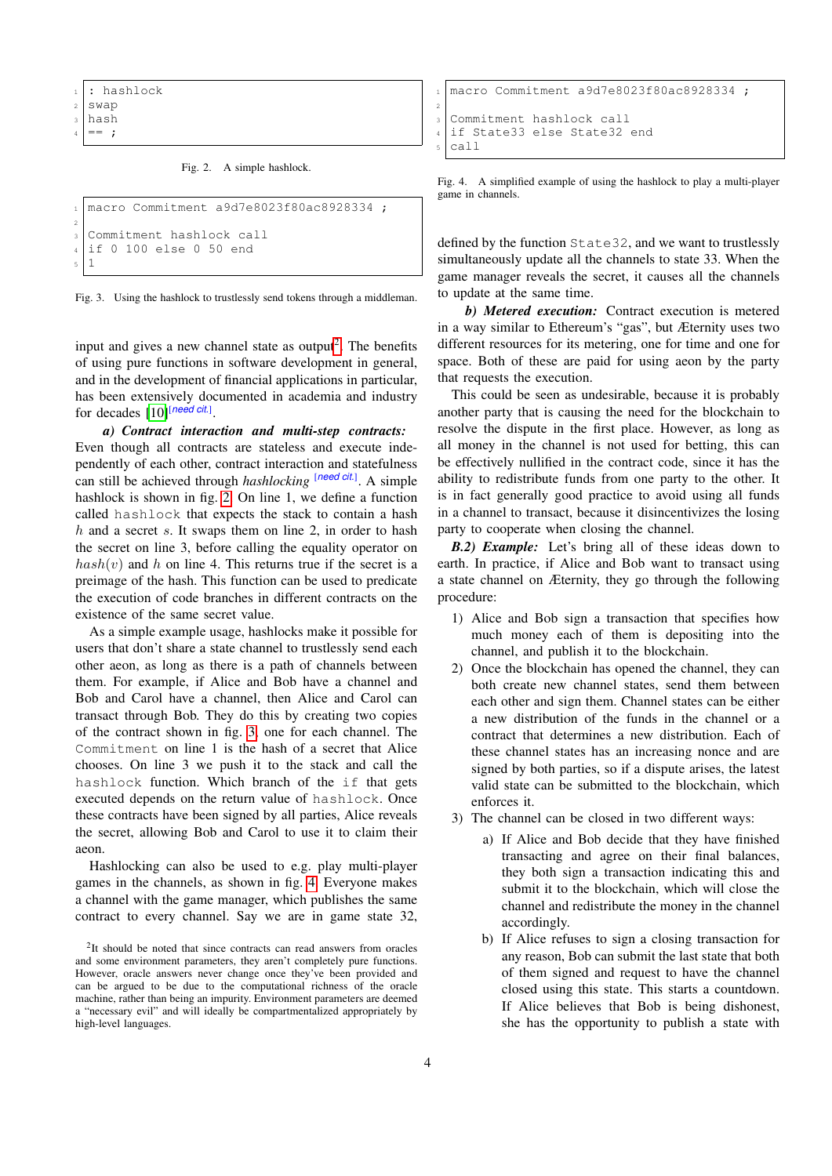- : hashlock
- $2$  swap
- <sup>3</sup> hash

 $= -$  ;

#### <span id="page-3-2"></span>Fig. 2. A simple hashlock.

```
_1 macro Commitment a9d7e8023f80ac8928334;
2
3 Commitment hashlock call
4 if 0 100 else 0 50 end
5 \mid 1
```
<span id="page-3-3"></span>Fig. 3. Using the hashlock to trustlessly send tokens through a middleman.

input and gives a new channel state as output<sup>[2](#page-3-1)</sup>. The benefits of using pure functions in software development in general, and in the development of financial applications in particular, has been extensively documented in academia and industry for decades [\[10\]](#page-9-9)<sup>[need cit.]</sup>.

*a) Contract interaction and multi-step contracts:* Even though all contracts are stateless and execute independently of each other, contract interaction and statefulness can still be achieved through *hashlocking* [*need cit.*]. A simple hashlock is shown in fig. [2.](#page-3-2) On line 1, we define a function called hashlock that expects the stack to contain a hash  $h$  and a secret s. It swaps them on line 2, in order to hash the secret on line 3, before calling the equality operator on  $hash(v)$  and h on line 4. This returns true if the secret is a preimage of the hash. This function can be used to predicate the execution of code branches in different contracts on the existence of the same secret value.

As a simple example usage, hashlocks make it possible for users that don't share a state channel to trustlessly send each other aeon, as long as there is a path of channels between them. For example, if Alice and Bob have a channel and Bob and Carol have a channel, then Alice and Carol can transact through Bob. They do this by creating two copies of the contract shown in fig. [3,](#page-3-3) one for each channel. The Commitment on line 1 is the hash of a secret that Alice chooses. On line 3 we push it to the stack and call the hashlock function. Which branch of the if that gets executed depends on the return value of hashlock. Once these contracts have been signed by all parties, Alice reveals the secret, allowing Bob and Carol to use it to claim their aeon.

Hashlocking can also be used to e.g. play multi-player games in the channels, as shown in fig. [4.](#page-3-4) Everyone makes a channel with the game manager, which publishes the same contract to every channel. Say we are in game state 32,

```
macro Commitment a9d7e8023f80ac8928334 ;
2
 Commitment hashlock call
 if State33 else State32 end
 call
```
<span id="page-3-4"></span>Fig. 4. A simplified example of using the hashlock to play a multi-player game in channels.

defined by the function State32, and we want to trustlessly simultaneously update all the channels to state 33. When the game manager reveals the secret, it causes all the channels to update at the same time.

*b) Metered execution:* Contract execution is metered in a way similar to Ethereum's "gas", but Æternity uses two different resources for its metering, one for time and one for space. Both of these are paid for using aeon by the party that requests the execution.

This could be seen as undesirable, because it is probably another party that is causing the need for the blockchain to resolve the dispute in the first place. However, as long as all money in the channel is not used for betting, this can be effectively nullified in the contract code, since it has the ability to redistribute funds from one party to the other. It is in fact generally good practice to avoid using all funds in a channel to transact, because it disincentivizes the losing party to cooperate when closing the channel.

<span id="page-3-0"></span>*B.2) Example:* Let's bring all of these ideas down to earth. In practice, if Alice and Bob want to transact using a state channel on Æternity, they go through the following procedure:

- 1) Alice and Bob sign a transaction that specifies how much money each of them is depositing into the channel, and publish it to the blockchain.
- 2) Once the blockchain has opened the channel, they can both create new channel states, send them between each other and sign them. Channel states can be either a new distribution of the funds in the channel or a contract that determines a new distribution. Each of these channel states has an increasing nonce and are signed by both parties, so if a dispute arises, the latest valid state can be submitted to the blockchain, which enforces it.
- 3) The channel can be closed in two different ways:
	- a) If Alice and Bob decide that they have finished transacting and agree on their final balances, they both sign a transaction indicating this and submit it to the blockchain, which will close the channel and redistribute the money in the channel accordingly.
	- b) If Alice refuses to sign a closing transaction for any reason, Bob can submit the last state that both of them signed and request to have the channel closed using this state. This starts a countdown. If Alice believes that Bob is being dishonest, she has the opportunity to publish a state with

<span id="page-3-1"></span><sup>&</sup>lt;sup>2</sup>It should be noted that since contracts can read answers from oracles and some environment parameters, they aren't completely pure functions. However, oracle answers never change once they've been provided and can be argued to be due to the computational richness of the oracle machine, rather than being an impurity. Environment parameters are deemed a "necessary evil" and will ideally be compartmentalized appropriately by high-level languages.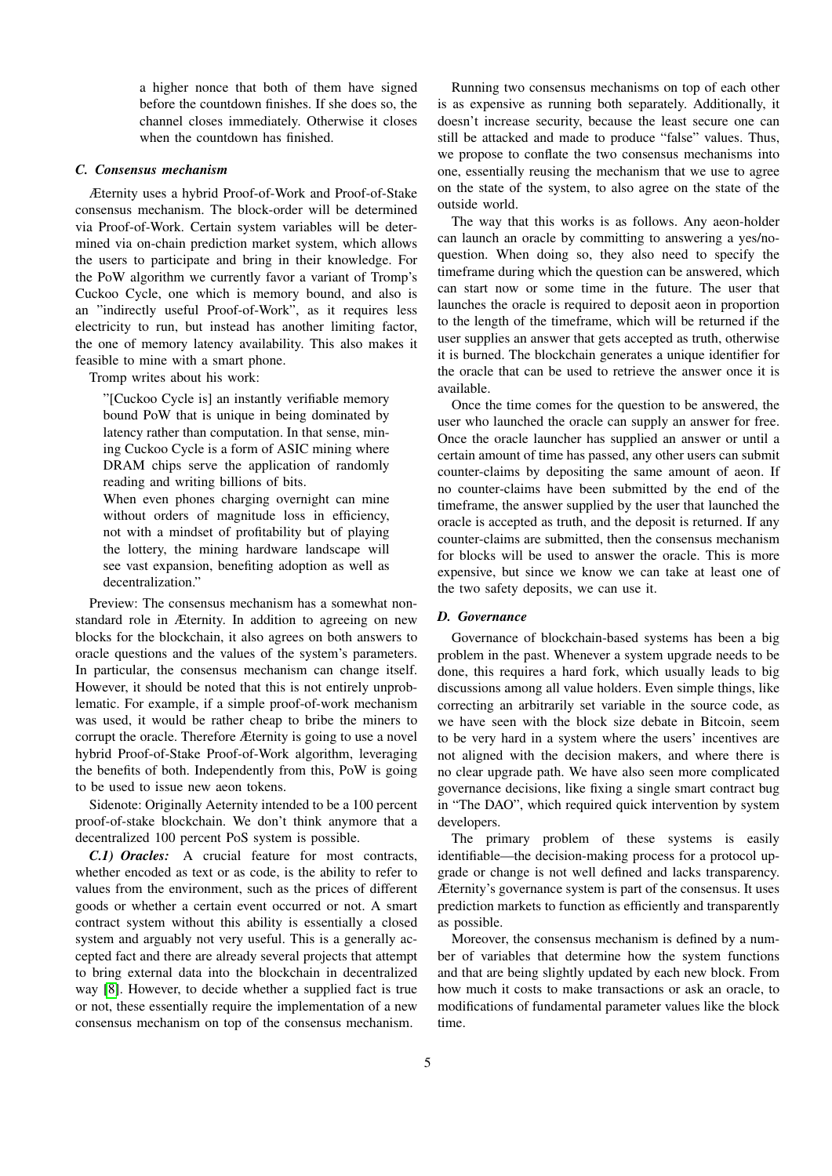a higher nonce that both of them have signed before the countdown finishes. If she does so, the channel closes immediately. Otherwise it closes when the countdown has finished.

#### <span id="page-4-0"></span>*C. Consensus mechanism*

Æternity uses a hybrid Proof-of-Work and Proof-of-Stake consensus mechanism. The block-order will be determined via Proof-of-Work. Certain system variables will be determined via on-chain prediction market system, which allows the users to participate and bring in their knowledge. For the PoW algorithm we currently favor a variant of Tromp's Cuckoo Cycle, one which is memory bound, and also is an "indirectly useful Proof-of-Work", as it requires less electricity to run, but instead has another limiting factor, the one of memory latency availability. This also makes it feasible to mine with a smart phone.

Tromp writes about his work:

"[Cuckoo Cycle is] an instantly verifiable memory bound PoW that is unique in being dominated by latency rather than computation. In that sense, mining Cuckoo Cycle is a form of ASIC mining where DRAM chips serve the application of randomly reading and writing billions of bits.

When even phones charging overnight can mine without orders of magnitude loss in efficiency, not with a mindset of profitability but of playing the lottery, the mining hardware landscape will see vast expansion, benefiting adoption as well as decentralization."

Preview: The consensus mechanism has a somewhat nonstandard role in Æternity. In addition to agreeing on new blocks for the blockchain, it also agrees on both answers to oracle questions and the values of the system's parameters. In particular, the consensus mechanism can change itself. However, it should be noted that this is not entirely unproblematic. For example, if a simple proof-of-work mechanism was used, it would be rather cheap to bribe the miners to corrupt the oracle. Therefore Æternity is going to use a novel hybrid Proof-of-Stake Proof-of-Work algorithm, leveraging the benefits of both. Independently from this, PoW is going to be used to issue new aeon tokens.

Sidenote: Originally Aeternity intended to be a 100 percent proof-of-stake blockchain. We don't think anymore that a decentralized 100 percent PoS system is possible.

<span id="page-4-1"></span>*C.1) Oracles:* A crucial feature for most contracts, whether encoded as text or as code, is the ability to refer to values from the environment, such as the prices of different goods or whether a certain event occurred or not. A smart contract system without this ability is essentially a closed system and arguably not very useful. This is a generally accepted fact and there are already several projects that attempt to bring external data into the blockchain in decentralized way [\[8\]](#page-9-7). However, to decide whether a supplied fact is true or not, these essentially require the implementation of a new consensus mechanism on top of the consensus mechanism.

Running two consensus mechanisms on top of each other is as expensive as running both separately. Additionally, it doesn't increase security, because the least secure one can still be attacked and made to produce "false" values. Thus, we propose to conflate the two consensus mechanisms into one, essentially reusing the mechanism that we use to agree on the state of the system, to also agree on the state of the outside world.

The way that this works is as follows. Any aeon-holder can launch an oracle by committing to answering a yes/noquestion. When doing so, they also need to specify the timeframe during which the question can be answered, which can start now or some time in the future. The user that launches the oracle is required to deposit aeon in proportion to the length of the timeframe, which will be returned if the user supplies an answer that gets accepted as truth, otherwise it is burned. The blockchain generates a unique identifier for the oracle that can be used to retrieve the answer once it is available.

Once the time comes for the question to be answered, the user who launched the oracle can supply an answer for free. Once the oracle launcher has supplied an answer or until a certain amount of time has passed, any other users can submit counter-claims by depositing the same amount of aeon. If no counter-claims have been submitted by the end of the timeframe, the answer supplied by the user that launched the oracle is accepted as truth, and the deposit is returned. If any counter-claims are submitted, then the consensus mechanism for blocks will be used to answer the oracle. This is more expensive, but since we know we can take at least one of the two safety deposits, we can use it.

#### <span id="page-4-2"></span>*D. Governance*

Governance of blockchain-based systems has been a big problem in the past. Whenever a system upgrade needs to be done, this requires a hard fork, which usually leads to big discussions among all value holders. Even simple things, like correcting an arbitrarily set variable in the source code, as we have seen with the block size debate in Bitcoin, seem to be very hard in a system where the users' incentives are not aligned with the decision makers, and where there is no clear upgrade path. We have also seen more complicated governance decisions, like fixing a single smart contract bug in "The DAO", which required quick intervention by system developers.

The primary problem of these systems is easily identifiable—the decision-making process for a protocol upgrade or change is not well defined and lacks transparency. Æternity's governance system is part of the consensus. It uses prediction markets to function as efficiently and transparently as possible.

Moreover, the consensus mechanism is defined by a number of variables that determine how the system functions and that are being slightly updated by each new block. From how much it costs to make transactions or ask an oracle, to modifications of fundamental parameter values like the block time.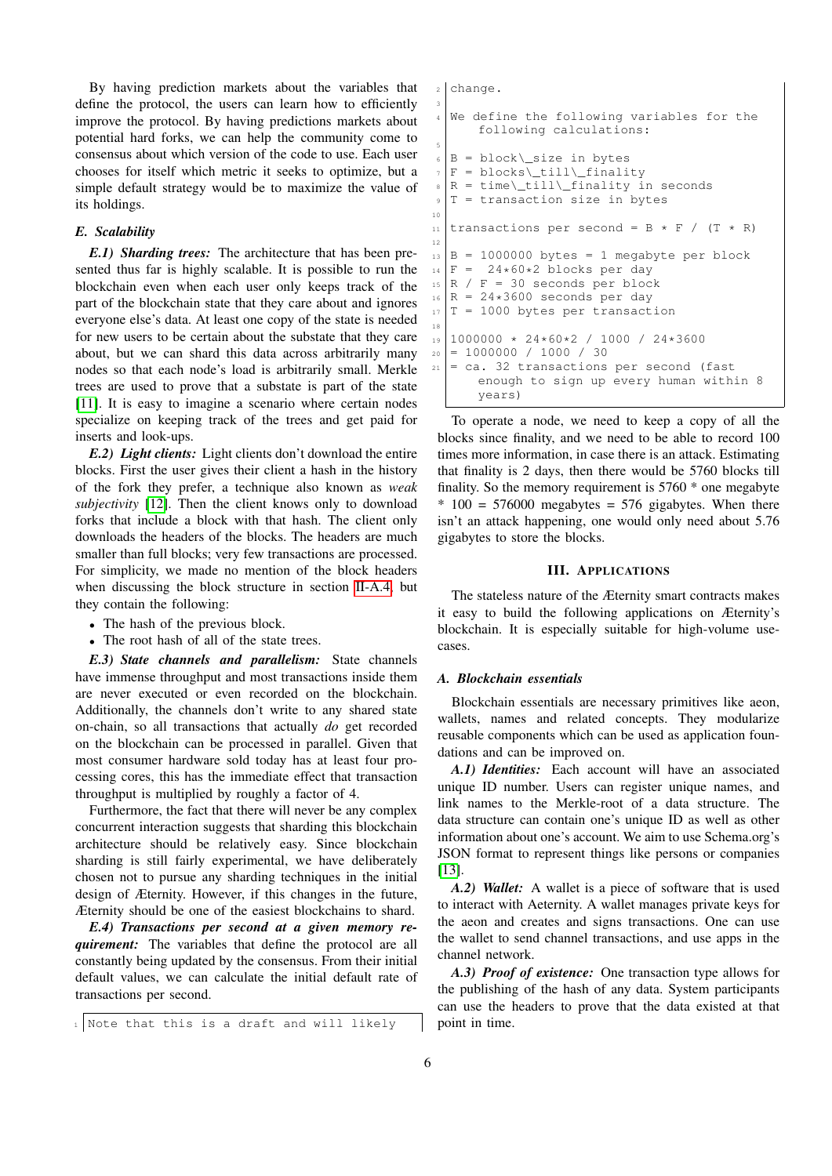By having prediction markets about the variables that define the protocol, the users can learn how to efficiently improve the protocol. By having predictions markets about potential hard forks, we can help the community come to consensus about which version of the code to use. Each user chooses for itself which metric it seeks to optimize, but a simple default strategy would be to maximize the value of its holdings.

## <span id="page-5-0"></span>*E. Scalability*

<span id="page-5-1"></span>*E.1) Sharding trees:* The architecture that has been presented thus far is highly scalable. It is possible to run the blockchain even when each user only keeps track of the part of the blockchain state that they care about and ignores everyone else's data. At least one copy of the state is needed for new users to be certain about the substate that they care about, but we can shard this data across arbitrarily many nodes so that each node's load is arbitrarily small. Merkle trees are used to prove that a substate is part of the state [\[11\]](#page-9-10). It is easy to imagine a scenario where certain nodes specialize on keeping track of the trees and get paid for inserts and look-ups.

<span id="page-5-2"></span>*E.2) Light clients:* Light clients don't download the entire blocks. First the user gives their client a hash in the history of the fork they prefer, a technique also known as *weak subjectivity* [\[12\]](#page-9-11). Then the client knows only to download forks that include a block with that hash. The client only downloads the headers of the blocks. The headers are much smaller than full blocks; very few transactions are processed. For simplicity, we made no mention of the block headers when discussing the block structure in section [II-A.4,](#page-2-1) but they contain the following:

- The hash of the previous block.
- The root hash of all of the state trees.

<span id="page-5-3"></span>*E.3) State channels and parallelism:* State channels have immense throughput and most transactions inside them are never executed or even recorded on the blockchain. Additionally, the channels don't write to any shared state on-chain, so all transactions that actually *do* get recorded on the blockchain can be processed in parallel. Given that most consumer hardware sold today has at least four processing cores, this has the immediate effect that transaction throughput is multiplied by roughly a factor of 4.

Furthermore, the fact that there will never be any complex concurrent interaction suggests that sharding this blockchain architecture should be relatively easy. Since blockchain sharding is still fairly experimental, we have deliberately chosen not to pursue any sharding techniques in the initial design of Æternity. However, if this changes in the future, Æternity should be one of the easiest blockchains to shard.

<span id="page-5-4"></span>*E.4) Transactions per second at a given memory requirement:* The variables that define the protocol are all constantly being updated by the consensus. From their initial default values, we can calculate the initial default rate of transactions per second.

change. 3 We define the following variables for the following calculations: 5  $6 \mid B$  = block\\_size in bytes  $F = blocks\{\tilde{\}_fill\}_{finality}$  $R = time\_\tilde{}$  = time $\_\tilde{}$  $T =$  transaction size in bytes 10 11 transactions per second = B  $*$  F / (T  $*$  R) 12  $_{13}$  B = 1000000 bytes = 1 megabyte per block  $_{14}$   $F = 24*60*2$  blocks per day  $15 \mid R / F = 30$  seconds per block  $_{16}$  R = 24\*3600 seconds per day  $17$  T = 1000 bytes per transaction 18 <sup>19</sup> 1000000 \* 24\*60\*2 / 1000 / 24\*3600  $|_{20}| = 10000000 / 1000 / 30$  $|21|$  = ca. 32 transactions per second (fast enough to sign up every human within 8 years)

To operate a node, we need to keep a copy of all the blocks since finality, and we need to be able to record 100 times more information, in case there is an attack. Estimating that finality is 2 days, then there would be 5760 blocks till finality. So the memory requirement is 5760 \* one megabyte  $*$  100 = 576000 megabytes = 576 gigabytes. When there isn't an attack happening, one would only need about 5.76 gigabytes to store the blocks.

#### III. APPLICATIONS

<span id="page-5-5"></span>The stateless nature of the Æternity smart contracts makes it easy to build the following applications on Æternity's blockchain. It is especially suitable for high-volume usecases.

#### <span id="page-5-6"></span>*A. Blockchain essentials*

Blockchain essentials are necessary primitives like aeon, wallets, names and related concepts. They modularize reusable components which can be used as application foundations and can be improved on.

<span id="page-5-7"></span>*A.1) Identities:* Each account will have an associated unique ID number. Users can register unique names, and link names to the Merkle-root of a data structure. The data structure can contain one's unique ID as well as other information about one's account. We aim to use Schema.org's JSON format to represent things like persons or companies [\[13\]](#page-9-12).

<span id="page-5-8"></span>*A.2) Wallet:* A wallet is a piece of software that is used to interact with Aeternity. A wallet manages private keys for the aeon and creates and signs transactions. One can use the wallet to send channel transactions, and use apps in the channel network.

<span id="page-5-9"></span>*A.3) Proof of existence:* One transaction type allows for the publishing of the hash of any data. System participants can use the headers to prove that the data existed at that point in time.

 $1$  Note that this is a draft and will likely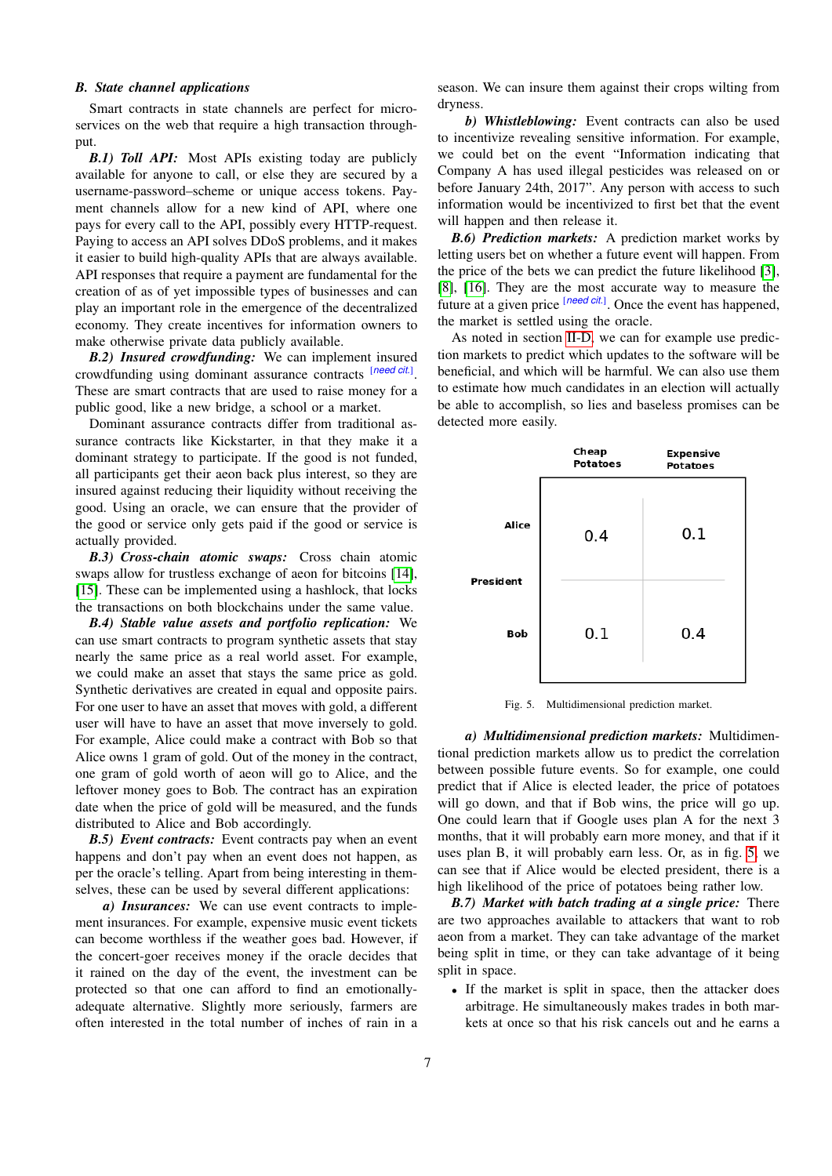#### <span id="page-6-0"></span>*B. State channel applications*

Smart contracts in state channels are perfect for microservices on the web that require a high transaction throughput.

<span id="page-6-1"></span>*B.1) Toll API:* Most APIs existing today are publicly available for anyone to call, or else they are secured by a username-password–scheme or unique access tokens. Payment channels allow for a new kind of API, where one pays for every call to the API, possibly every HTTP-request. Paying to access an API solves DDoS problems, and it makes it easier to build high-quality APIs that are always available. API responses that require a payment are fundamental for the creation of as of yet impossible types of businesses and can play an important role in the emergence of the decentralized economy. They create incentives for information owners to make otherwise private data publicly available.

<span id="page-6-2"></span>*B.2) Insured crowdfunding:* We can implement insured crowdfunding using dominant assurance contracts [*need cit.*] . These are smart contracts that are used to raise money for a public good, like a new bridge, a school or a market.

Dominant assurance contracts differ from traditional assurance contracts like Kickstarter, in that they make it a dominant strategy to participate. If the good is not funded, all participants get their aeon back plus interest, so they are insured against reducing their liquidity without receiving the good. Using an oracle, we can ensure that the provider of the good or service only gets paid if the good or service is actually provided.

<span id="page-6-3"></span>*B.3) Cross-chain atomic swaps:* Cross chain atomic swaps allow for trustless exchange of aeon for bitcoins [\[14\]](#page-9-13), [\[15\]](#page-9-14). These can be implemented using a hashlock, that locks the transactions on both blockchains under the same value.

<span id="page-6-4"></span>*B.4) Stable value assets and portfolio replication:* We can use smart contracts to program synthetic assets that stay nearly the same price as a real world asset. For example, we could make an asset that stays the same price as gold. Synthetic derivatives are created in equal and opposite pairs. For one user to have an asset that moves with gold, a different user will have to have an asset that move inversely to gold. For example, Alice could make a contract with Bob so that Alice owns 1 gram of gold. Out of the money in the contract, one gram of gold worth of aeon will go to Alice, and the leftover money goes to Bob. The contract has an expiration date when the price of gold will be measured, and the funds distributed to Alice and Bob accordingly.

<span id="page-6-5"></span>*B.5) Event contracts:* Event contracts pay when an event happens and don't pay when an event does not happen, as per the oracle's telling. Apart from being interesting in themselves, these can be used by several different applications:

*a) Insurances:* We can use event contracts to implement insurances. For example, expensive music event tickets can become worthless if the weather goes bad. However, if the concert-goer receives money if the oracle decides that it rained on the day of the event, the investment can be protected so that one can afford to find an emotionallyadequate alternative. Slightly more seriously, farmers are often interested in the total number of inches of rain in a

season. We can insure them against their crops wilting from dryness.

*b) Whistleblowing:* Event contracts can also be used to incentivize revealing sensitive information. For example, we could bet on the event "Information indicating that Company A has used illegal pesticides was released on or before January 24th, 2017". Any person with access to such information would be incentivized to first bet that the event will happen and then release it.

<span id="page-6-6"></span>*B.6) Prediction markets:* A prediction market works by letting users bet on whether a future event will happen. From the price of the bets we can predict the future likelihood [\[3\]](#page-9-2), [\[8\]](#page-9-7), [\[16\]](#page-9-15). They are the most accurate way to measure the future at a given price [*need cit.*]. Once the event has happened, the market is settled using the oracle.

As noted in section [II-D,](#page-4-2) we can for example use prediction markets to predict which updates to the software will be beneficial, and which will be harmful. We can also use them to estimate how much candidates in an election will actually be able to accomplish, so lies and baseless promises can be detected more easily.



<span id="page-6-8"></span>Fig. 5. Multidimensional prediction market.

*a) Multidimensional prediction markets:* Multidimentional prediction markets allow us to predict the correlation between possible future events. So for example, one could predict that if Alice is elected leader, the price of potatoes will go down, and that if Bob wins, the price will go up. One could learn that if Google uses plan A for the next 3 months, that it will probably earn more money, and that if it uses plan B, it will probably earn less. Or, as in fig. [5,](#page-6-8) we can see that if Alice would be elected president, there is a high likelihood of the price of potatoes being rather low.

<span id="page-6-7"></span>*B.7) Market with batch trading at a single price:* There are two approaches available to attackers that want to rob aeon from a market. They can take advantage of the market being split in time, or they can take advantage of it being split in space.

• If the market is split in space, then the attacker does arbitrage. He simultaneously makes trades in both markets at once so that his risk cancels out and he earns a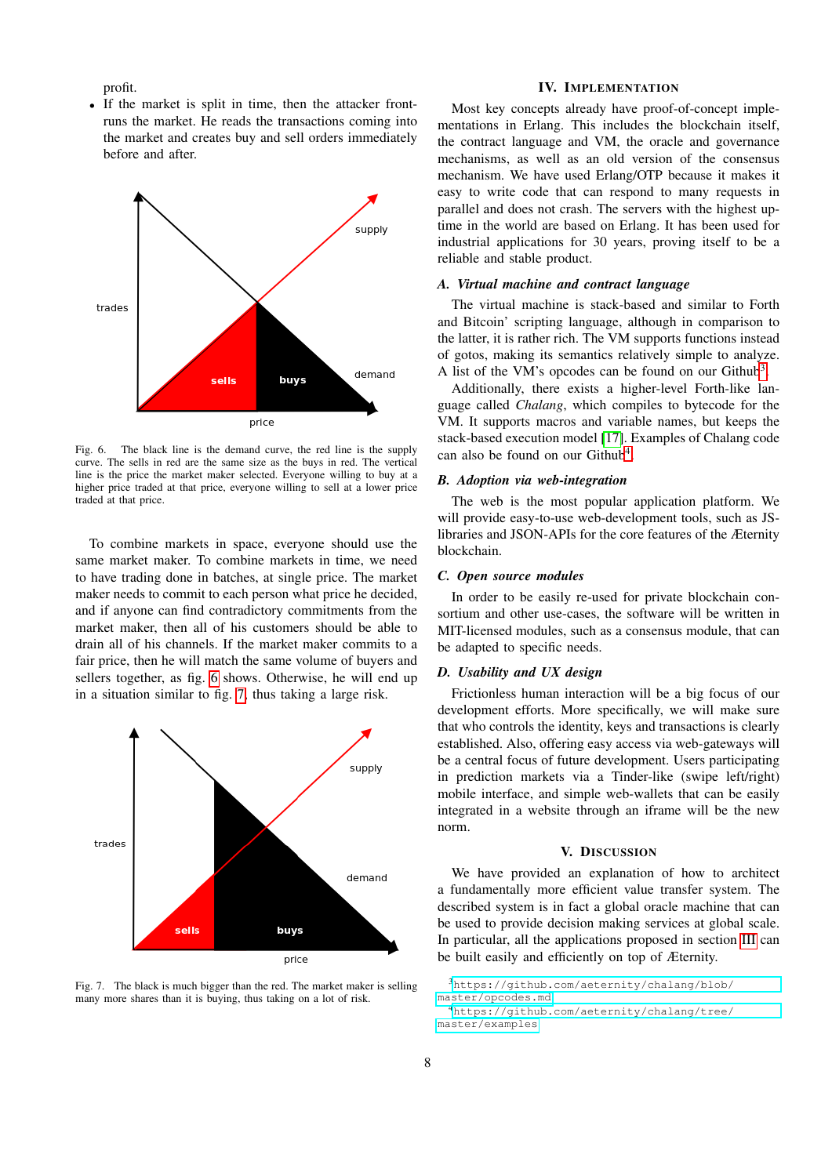profit.

• If the market is split in time, then the attacker frontruns the market. He reads the transactions coming into the market and creates buy and sell orders immediately before and after.



<span id="page-7-6"></span>Fig. 6. The black line is the demand curve, the red line is the supply curve. The sells in red are the same size as the buys in red. The vertical line is the price the market maker selected. Everyone willing to buy at a higher price traded at that price, everyone willing to sell at a lower price traded at that price.

To combine markets in space, everyone should use the same market maker. To combine markets in time, we need to have trading done in batches, at single price. The market maker needs to commit to each person what price he decided, and if anyone can find contradictory commitments from the market maker, then all of his customers should be able to drain all of his channels. If the market maker commits to a fair price, then he will match the same volume of buyers and sellers together, as fig. [6](#page-7-6) shows. Otherwise, he will end up in a situation similar to fig. [7,](#page-7-7) thus taking a large risk.



<span id="page-7-7"></span>Fig. 7. The black is much bigger than the red. The market maker is selling many more shares than it is buying, thus taking on a lot of risk.

# IV. IMPLEMENTATION

<span id="page-7-0"></span>Most key concepts already have proof-of-concept implementations in Erlang. This includes the blockchain itself, the contract language and VM, the oracle and governance mechanisms, as well as an old version of the consensus mechanism. We have used Erlang/OTP because it makes it easy to write code that can respond to many requests in parallel and does not crash. The servers with the highest uptime in the world are based on Erlang. It has been used for industrial applications for 30 years, proving itself to be a reliable and stable product.

# <span id="page-7-1"></span>*A. Virtual machine and contract language*

The virtual machine is stack-based and similar to Forth and Bitcoin' scripting language, although in comparison to the latter, it is rather rich. The VM supports functions instead of gotos, making its semantics relatively simple to analyze. A list of the VM's opcodes can be found on our Github<sup>[3](#page-7-8)</sup>.

Additionally, there exists a higher-level Forth-like language called *Chalang*, which compiles to bytecode for the VM. It supports macros and variable names, but keeps the stack-based execution model [\[17\]](#page-9-16). Examples of Chalang code can also be found on our Github<sup>[4](#page-7-9)</sup>.

#### <span id="page-7-2"></span>*B. Adoption via web-integration*

The web is the most popular application platform. We will provide easy-to-use web-development tools, such as JSlibraries and JSON-APIs for the core features of the Æternity blockchain.

#### <span id="page-7-3"></span>*C. Open source modules*

In order to be easily re-used for private blockchain consortium and other use-cases, the software will be written in MIT-licensed modules, such as a consensus module, that can be adapted to specific needs.

#### <span id="page-7-4"></span>*D. Usability and UX design*

Frictionless human interaction will be a big focus of our development efforts. More specifically, we will make sure that who controls the identity, keys and transactions is clearly established. Also, offering easy access via web-gateways will be a central focus of future development. Users participating in prediction markets via a Tinder-like (swipe left/right) mobile interface, and simple web-wallets that can be easily integrated in a website through an iframe will be the new norm.

#### V. DISCUSSION

<span id="page-7-5"></span>We have provided an explanation of how to architect a fundamentally more efficient value transfer system. The described system is in fact a global oracle machine that can be used to provide decision making services at global scale. In particular, all the applications proposed in section [III](#page-5-5) can be built easily and efficiently on top of Æternity.

```
3https://github.com/aeternity/chalang/blob/
master/opcodes.md
```
<span id="page-7-9"></span><sup>4</sup>[https://github.com/aeternity/chalang/tree/](https://github.com/aeternity/chalang/tree/master/examples) [master/examples](https://github.com/aeternity/chalang/tree/master/examples)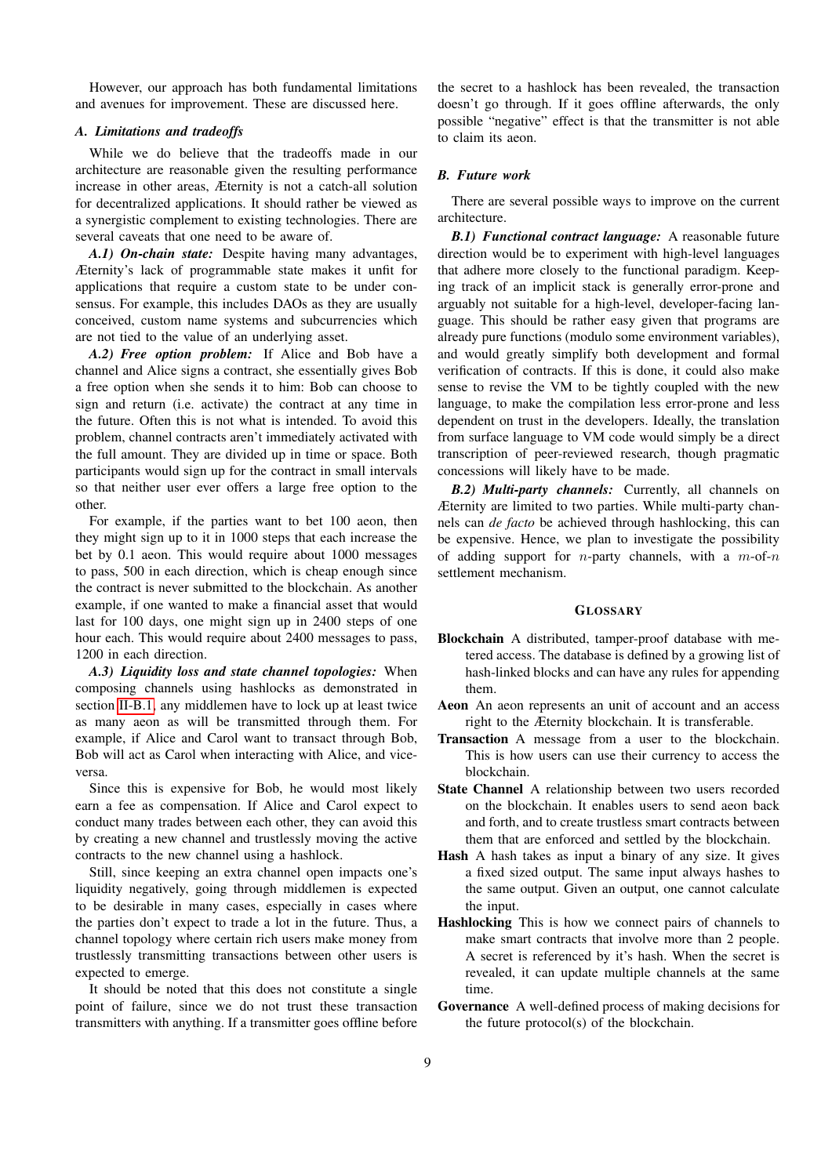However, our approach has both fundamental limitations and avenues for improvement. These are discussed here.

# <span id="page-8-0"></span>*A. Limitations and tradeoffs*

While we do believe that the tradeoffs made in our architecture are reasonable given the resulting performance increase in other areas, Æternity is not a catch-all solution for decentralized applications. It should rather be viewed as a synergistic complement to existing technologies. There are several caveats that one need to be aware of.

<span id="page-8-1"></span>*A.1) On-chain state:* Despite having many advantages, Æternity's lack of programmable state makes it unfit for applications that require a custom state to be under consensus. For example, this includes DAOs as they are usually conceived, custom name systems and subcurrencies which are not tied to the value of an underlying asset.

<span id="page-8-2"></span>*A.2) Free option problem:* If Alice and Bob have a channel and Alice signs a contract, she essentially gives Bob a free option when she sends it to him: Bob can choose to sign and return (i.e. activate) the contract at any time in the future. Often this is not what is intended. To avoid this problem, channel contracts aren't immediately activated with the full amount. They are divided up in time or space. Both participants would sign up for the contract in small intervals so that neither user ever offers a large free option to the other.

For example, if the parties want to bet 100 aeon, then they might sign up to it in 1000 steps that each increase the bet by 0.1 aeon. This would require about 1000 messages to pass, 500 in each direction, which is cheap enough since the contract is never submitted to the blockchain. As another example, if one wanted to make a financial asset that would last for 100 days, one might sign up in 2400 steps of one hour each. This would require about 2400 messages to pass, 1200 in each direction.

<span id="page-8-3"></span>*A.3) Liquidity loss and state channel topologies:* When composing channels using hashlocks as demonstrated in section [II-B.1,](#page-2-3) any middlemen have to lock up at least twice as many aeon as will be transmitted through them. For example, if Alice and Carol want to transact through Bob, Bob will act as Carol when interacting with Alice, and viceversa.

Since this is expensive for Bob, he would most likely earn a fee as compensation. If Alice and Carol expect to conduct many trades between each other, they can avoid this by creating a new channel and trustlessly moving the active contracts to the new channel using a hashlock.

Still, since keeping an extra channel open impacts one's liquidity negatively, going through middlemen is expected to be desirable in many cases, especially in cases where the parties don't expect to trade a lot in the future. Thus, a channel topology where certain rich users make money from trustlessly transmitting transactions between other users is expected to emerge.

It should be noted that this does not constitute a single point of failure, since we do not trust these transaction transmitters with anything. If a transmitter goes offline before

the secret to a hashlock has been revealed, the transaction doesn't go through. If it goes offline afterwards, the only possible "negative" effect is that the transmitter is not able to claim its aeon.

## <span id="page-8-4"></span>*B. Future work*

There are several possible ways to improve on the current architecture.

<span id="page-8-5"></span>*B.1) Functional contract language:* A reasonable future direction would be to experiment with high-level languages that adhere more closely to the functional paradigm. Keeping track of an implicit stack is generally error-prone and arguably not suitable for a high-level, developer-facing language. This should be rather easy given that programs are already pure functions (modulo some environment variables), and would greatly simplify both development and formal verification of contracts. If this is done, it could also make sense to revise the VM to be tightly coupled with the new language, to make the compilation less error-prone and less dependent on trust in the developers. Ideally, the translation from surface language to VM code would simply be a direct transcription of peer-reviewed research, though pragmatic concessions will likely have to be made.

<span id="page-8-6"></span>*B.2) Multi-party channels:* Currently, all channels on Æternity are limited to two parties. While multi-party channels can *de facto* be achieved through hashlocking, this can be expensive. Hence, we plan to investigate the possibility of adding support for *n*-party channels, with a  $m$ -of-n settlement mechanism.

#### **GLOSSARY**

- Blockchain A distributed, tamper-proof database with metered access. The database is defined by a growing list of hash-linked blocks and can have any rules for appending them.
- Aeon An aeon represents an unit of account and an access right to the Æternity blockchain. It is transferable.
- Transaction A message from a user to the blockchain. This is how users can use their currency to access the blockchain.
- State Channel A relationship between two users recorded on the blockchain. It enables users to send aeon back and forth, and to create trustless smart contracts between them that are enforced and settled by the blockchain.
- Hash A hash takes as input a binary of any size. It gives a fixed sized output. The same input always hashes to the same output. Given an output, one cannot calculate the input.
- Hashlocking This is how we connect pairs of channels to make smart contracts that involve more than 2 people. A secret is referenced by it's hash. When the secret is revealed, it can update multiple channels at the same time.
- Governance A well-defined process of making decisions for the future protocol(s) of the blockchain.